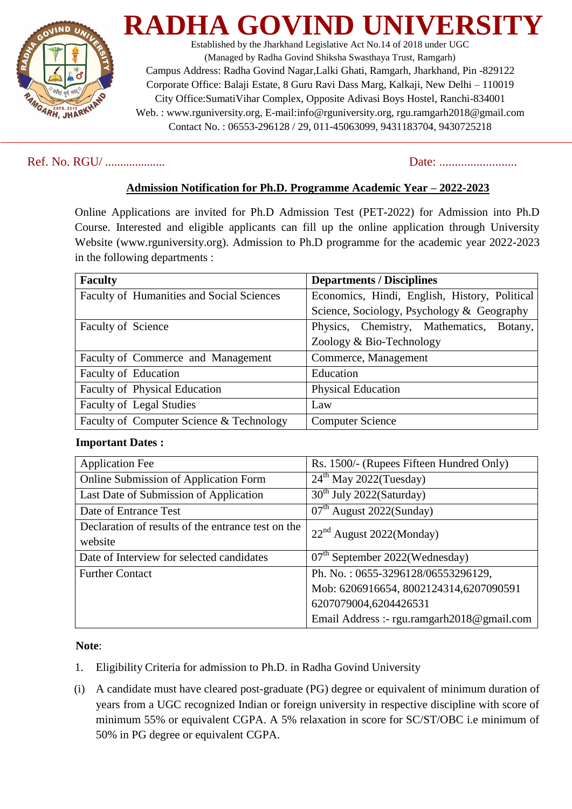

**RADHA** Established by the Jharkhand Legislative Act No.14 of 2018 under UGC (Managed by Radha Govind Shiksha Swasthaya Trust, Ramgarh) Campus Address: Radha Govind Nagar,Lalki Ghati, Ramgarh, Jharkhand, Pin -829122 Corporate Office: Balaji Estate, 8 Guru Ravi Dass Marg, Kalkaji, New Delhi – 110019 City Office:SumatiVihar Complex, Opposite Adivasi Boys Hostel, Ranchi-834001 Web. : www.rguniversity.org, E-mail:info@rguniversity.org, rgu.ramgarh2018@gmail.com Contact No. : 06553-296128 / 29, 011-45063099, 9431183704, 9430725218

## Ref. No. RGU/ .................... Date: .........................

# **Admission Notification for Ph.D. Programme Academic Year – 2022-2023**

Online Applications are invited for Ph.D Admission Test (PET-2022) for Admission into Ph.D Course. Interested and eligible applicants can fill up the online application through University Website [\(www.rguniversity.org\)](http://www.rguniversity.org/). Admission to Ph.D programme for the academic year 2022-2023 in the following departments :

| <b>Faculty</b>                                   | <b>Departments / Disciplines</b>              |
|--------------------------------------------------|-----------------------------------------------|
| <b>Faculty of Humanities and Social Sciences</b> | Economics, Hindi, English, History, Political |
|                                                  | Science, Sociology, Psychology & Geography    |
| Faculty of Science                               | Physics, Chemistry, Mathematics, Botany,      |
|                                                  | Zoology & Bio-Technology                      |
| Faculty of Commerce and Management               | Commerce, Management                          |
| Faculty of Education                             | Education                                     |
| <b>Faculty of Physical Education</b>             | <b>Physical Education</b>                     |
| <b>Faculty of Legal Studies</b>                  | Law                                           |
| Faculty of Computer Science & Technology         | <b>Computer Science</b>                       |

### **Important Dates :**

| <b>Application Fee</b>                             | Rs. 1500/- (Rupees Fifteen Hundred Only)   |
|----------------------------------------------------|--------------------------------------------|
| Online Submission of Application Form              | $24th$ May 2022(Tuesday)                   |
| Last Date of Submission of Application             | 30 <sup>th</sup> July 2022(Saturday)       |
| Date of Entrance Test                              | $07th$ August 2022(Sunday)                 |
| Declaration of results of the entrance test on the | $22nd$ August 2022(Monday)                 |
| website                                            |                                            |
| Date of Interview for selected candidates          | $07th$ September 2022(Wednesday)           |
| <b>Further Contact</b>                             | Ph. No.: 0655-3296128/06553296129,         |
|                                                    | Mob: 6206916654, 8002124314, 6207090591    |
|                                                    | 6207079004,6204426531                      |
|                                                    | Email Address :- rgu.ramgarh2018@gmail.com |

### **Note**:

- 1. Eligibility Criteria for admission to Ph.D. in Radha Govind University
- (i) A candidate must have cleared post-graduate (PG) degree or equivalent of minimum duration of years from a UGC recognized Indian or foreign university in respective discipline with score of minimum 55% or equivalent CGPA. A 5% relaxation in score for SC/ST/OBC i.e minimum of 50% in PG degree or equivalent CGPA.